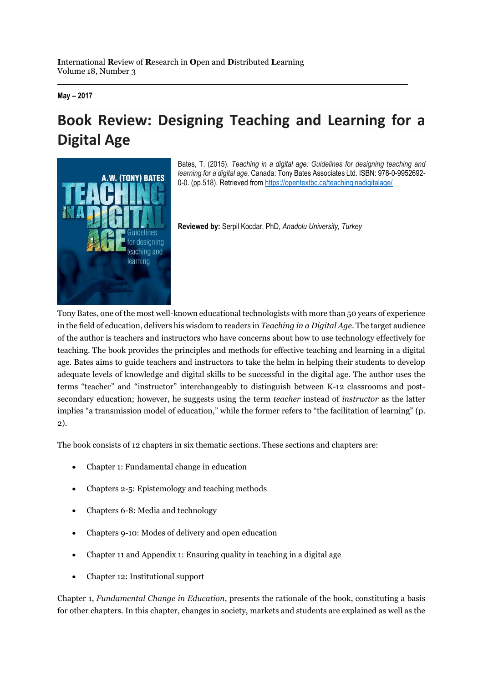**May – 2017**

## **Book Review: Designing Teaching and Learning for a Digital Age**



Bates, T. (2015). *Teaching in a digital age: Guidelines for designing teaching and learning for a digital age.* Canada: Tony Bates Associates Ltd. ISBN: 978-0-9952692- 0-0. (pp.518). Retrieved from<https://opentextbc.ca/teachinginadigitalage/>

**Reviewed by:** Serpil Kocdar, PhD, *Anadolu University, Turkey*

Tony Bates, one of the most well-known educational technologists with more than 50 years of experience in the field of education, delivers his wisdom to readers in *Teaching in a Digital Age*. The target audience of the author is teachers and instructors who have concerns about how to use technology effectively for teaching. The book provides the principles and methods for effective teaching and learning in a digital age. Bates aims to guide teachers and instructors to take the helm in helping their students to develop adequate levels of knowledge and digital skills to be successful in the digital age. The author uses the terms "teacher" and "instructor" interchangeably to distinguish between K-12 classrooms and postsecondary education; however, he suggests using the term *teacher* instead of *instructor* as the latter implies "a transmission model of education," while the former refers to "the facilitation of learning" (p. 2).

The book consists of 12 chapters in six thematic sections. These sections and chapters are:

- Chapter 1: Fundamental change in education
- Chapters 2-5: Epistemology and teaching methods
- Chapters 6-8: Media and technology
- Chapters 9-10: Modes of delivery and open education
- Chapter 11 and Appendix 1: Ensuring quality in teaching in a digital age
- Chapter 12: Institutional support

Chapter 1, *Fundamental Change in Education*, presents the rationale of the book, constituting a basis for other chapters. In this chapter, changes in society, markets and students are explained as well as the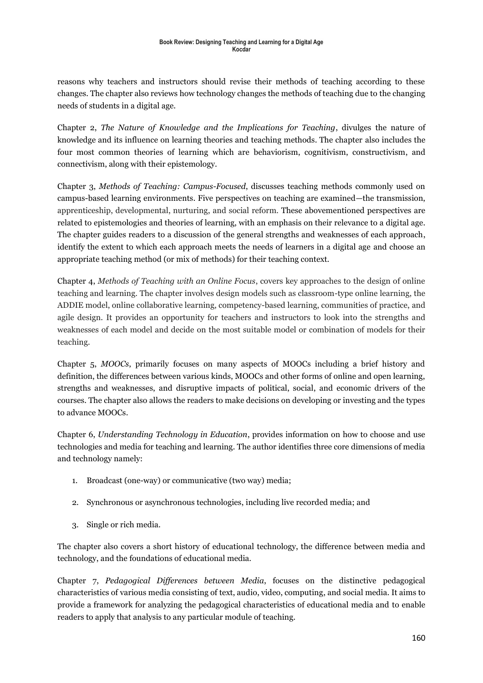reasons why teachers and instructors should revise their methods of teaching according to these changes. The chapter also reviews how technology changes the methods of teaching due to the changing needs of students in a digital age.

Chapter 2, *The Nature of Knowledge and the Implications for Teaching*, divulges the nature of knowledge and its influence on learning theories and teaching methods. The chapter also includes the four most common theories of learning which are behaviorism, cognitivism, constructivism, and connectivism, along with their epistemology.

Chapter 3, *Methods of Teaching: Campus-Focused*, discusses teaching methods commonly used on campus-based learning environments. Five perspectives on teaching are examined—the transmission, apprenticeship, developmental, nurturing, and social reform. These abovementioned perspectives are related to epistemologies and theories of learning, with an emphasis on their relevance to a digital age. The chapter guides readers to a discussion of the general strengths and weaknesses of each approach, identify the extent to which each approach meets the needs of learners in a digital age and choose an appropriate teaching method (or mix of methods) for their teaching context.

Chapter 4, *Methods of Teaching with an Online Focus*, covers key approaches to the design of online teaching and learning. The chapter involves design models such as classroom-type online learning, the ADDIE model, online collaborative learning, competency-based learning, communities of practice, and agile design. It provides an opportunity for teachers and instructors to look into the strengths and weaknesses of each model and decide on the most suitable model or combination of models for their teaching.

Chapter 5, *MOOCs*, primarily focuses on many aspects of MOOCs including a brief history and definition, the differences between various kinds, MOOCs and other forms of online and open learning, strengths and weaknesses, and disruptive impacts of political, social, and economic drivers of the courses. The chapter also allows the readers to make decisions on developing or investing and the types to advance MOOCs.

Chapter 6, *Understanding Technology in Education*, provides information on how to choose and use technologies and media for teaching and learning. The author identifies three core dimensions of media and technology namely:

- 1. Broadcast (one-way) or communicative (two way) media;
- 2. Synchronous or asynchronous technologies, including live recorded media; and
- 3. Single or rich media.

The chapter also covers a short history of educational technology, the difference between media and technology, and the foundations of educational media.

Chapter 7, *Pedagogical Differences between Media*, focuses on the distinctive pedagogical characteristics of various media consisting of text, audio, video, computing, and social media. It aims to provide a framework for analyzing the pedagogical characteristics of educational media and to enable readers to apply that analysis to any particular module of teaching.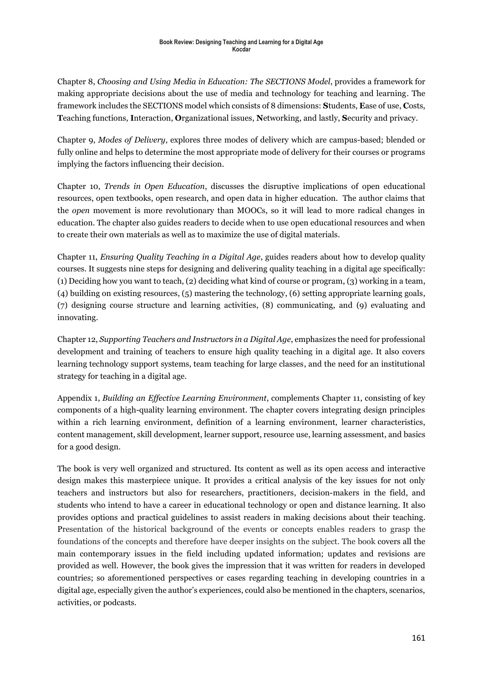Chapter 8, *Choosing and Using Media in Education: The SECTIONS Model*, provides a framework for making appropriate decisions about the use of media and technology for teaching and learning. The framework includes the SECTIONS model which consists of 8 dimensions: **S**tudents, **E**ase of use, **C**osts, **T**eaching functions, **I**nteraction, **O**rganizational issues, **N**etworking, and lastly, **S**ecurity and privacy.

Chapter 9, *Modes of Delivery*, explores three modes of delivery which are campus-based; blended or fully online and helps to determine the most appropriate mode of delivery for their courses or programs implying the factors influencing their decision.

Chapter 10, *Trends in Open Education*, discusses the disruptive implications of open educational resources, open textbooks, open research, and open data in higher education. The author claims that the *open* movement is more revolutionary than MOOCs, so it will lead to more radical changes in education. The chapter also guides readers to decide when to use open educational resources and when to create their own materials as well as to maximize the use of digital materials.

Chapter 11, *Ensuring Quality Teaching in a Digital Age*, guides readers about how to develop quality courses. It suggests nine steps for designing and delivering quality teaching in a digital age specifically: (1) Deciding how you want to teach, (2) deciding what kind of course or program, (3) working in a team, (4) building on existing resources, (5) mastering the technology, (6) setting appropriate learning goals, (7) designing course structure and learning activities, (8) communicating, and (9) evaluating and innovating.

Chapter 12, *Supporting Teachers and Instructors in a Digital Age*, emphasizes the need for professional development and training of teachers to ensure high quality teaching in a digital age. It also covers learning technology support systems, team teaching for large classes, and the need for an institutional strategy for teaching in a digital age.

Appendix 1, *Building an Effective Learning Environment*, complements Chapter 11, consisting of key components of a high-quality learning environment. The chapter covers integrating design principles within a rich learning environment, definition of a learning environment, learner characteristics, content management, skill development, learner support, resource use, learning assessment, and basics for a good design.

The book is very well organized and structured. Its content as well as its open access and interactive design makes this masterpiece unique. It provides a critical analysis of the key issues for not only teachers and instructors but also for researchers, practitioners, decision-makers in the field, and students who intend to have a career in educational technology or open and distance learning. It also provides options and practical guidelines to assist readers in making decisions about their teaching. Presentation of the historical background of the events or concepts enables readers to grasp the foundations of the concepts and therefore have deeper insights on the subject. The book covers all the main contemporary issues in the field including updated information; updates and revisions are provided as well. However, the book gives the impression that it was written for readers in developed countries; so aforementioned perspectives or cases regarding teaching in developing countries in a digital age, especially given the author's experiences, could also be mentioned in the chapters, scenarios, activities, or podcasts.